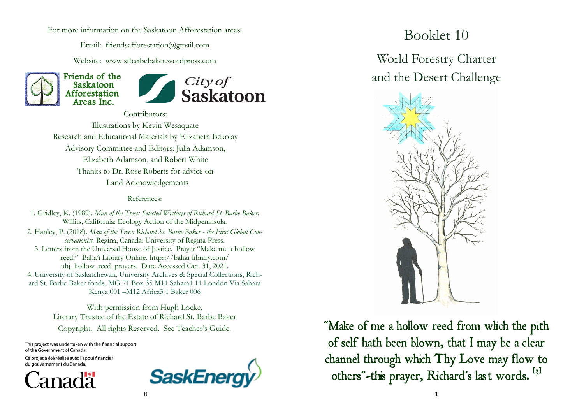For more information on the Saskatoon Afforestation areas:

Email: friendsafforestation@gmail.com

Website: www.stbarbebaker.wordpress.com





Contributors: Illustrations by Kevin Wesaquate Research and Educational Materials by Elizabeth Bekolay Advisory Committee and Editors: Julia Adamson, Elizabeth Adamson, and Robert White Thanks to Dr. Rose Roberts for advice on Land Acknowledgements

#### References:

1. Gridley, K. (1989). *Man of the Trees: Selected Writings of Richard St. Barbe Baker.*  Willits, California: Ecology Action of the Midpeninsula. 2. Hanley, P. (2018). *Man of the Trees: Richard St. Barbe Baker - the First Global Conservationist.* Regina, Canada: University of Regina Press. 3. Letters from the Universal House of Justice. Prayer "Make me a hollow reed," Baha'i Library Online. https://bahai-library.com/ uhj\_hollow\_reed\_prayers. Date Accessed Oct. 31, 2021. 4. University of Saskatchewan, University Archives & Special Collections, Richard St. Barbe Baker fonds, MG 71 Box 35 M11 Sahara1 11 London Via Sahara Kenya 001 –M12 Africa3 1 Baker 006

With permission from Hugh Locke, Literary Trustee of the Estate of Richard St. Barbe Baker Copyright. All rights Reserved. See Teacher's Guide.

This project was undertaken with the financial support of the Government of Canada.

Ce projet a été réalisé avec l'appui financier du gouvernement du Canada.





# Booklet 10

World Forestry Charter and the Desert Challenge



"Make of me a hollow reed from which the pith of self hath been blown, that I may be a clear channel through which Thy Love may flow to others"-this prayer, Richard's last words. [3]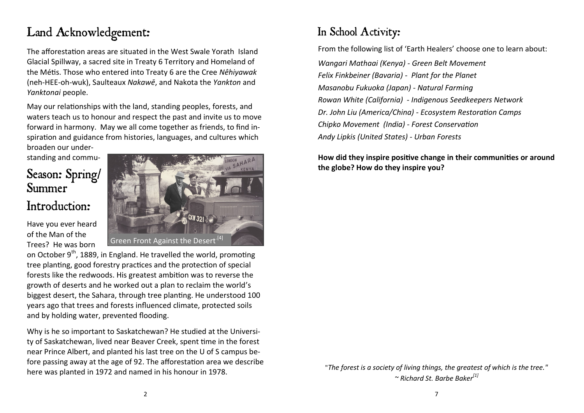# Land Acknowledgement:

The afforestation areas are situated in the West Swale Yorath Island Glacial Spillway, a sacred site in Treaty 6 Territory and Homeland of the Métis. Those who entered into Treaty 6 are the Cree *Nêhiyawak* (neh-HEE-oh-wuk), Saulteaux *[Nakawē](https://en.wikipedia.org/wiki/Saulteaux)*, and Nakota the *Yankton* and *Yanktonai* people.

May our relationships with the land, standing peoples, forests, and waters teach us to honour and respect the past and invite us to move forward in harmony. May we all come together as friends, to find inspiration and guidance from histories, languages, and cultures which broaden our under-

standing and commu-

### Season: Spring/ Summer

#### Introduction:

Have you ever heard of the Man of the Trees? He was born



on October 9<sup>th</sup>, 1889, in England. He travelled the world, promoting tree planting, good forestry practices and the protection of special forests like the redwoods. His greatest ambition was to reverse the growth of deserts and he worked out a plan to reclaim the world's biggest desert, the Sahara, through tree planting. He understood 100 years ago that trees and forests influenced climate, protected soils and by holding water, prevented flooding.

Why is he so important to Saskatchewan? He studied at the University of Saskatchewan, lived near Beaver Creek, spent time in the forest near Prince Albert, and planted his last tree on the U of S campus before passing away at the age of 92. The afforestation area we describe here was planted in 1972 and named in his honour in 1978.

### In School Activity:

From the following list of 'Earth Healers' choose one to learn about: *Wangari Mathaai (Kenya) - Green Belt Movement Felix Finkbeiner (Bavaria) - Plant for the Planet Masanobu Fukuoka (Japan) - Natural Farming Rowan White (California) - Indigenous Seedkeepers Network Dr. John Liu (America/China) - Ecosystem Restoration Camps Chipko Movement (India) - Forest Conservation Andy Lipkis (United States) - Urban Forests*

#### **How did they inspire positive change in their communities or around the globe? How do they inspire you?**

"*The forest is a society of living things, the greatest of which is the tree." ~ Richard St. Barbe Baker[1]*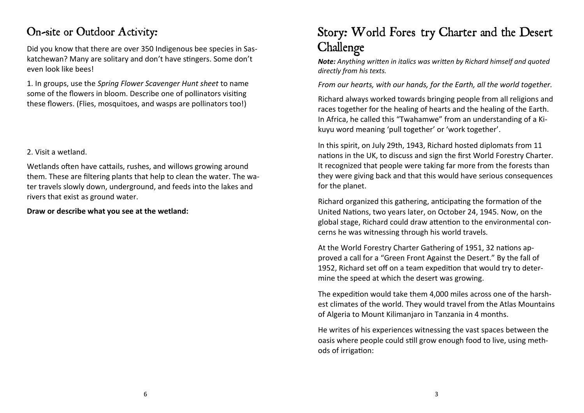### On-site or Outdoor Activity:

Did you know that there are over 350 Indigenous bee species in Saskatchewan? Many are solitary and don't have stingers. Some don't even look like bees!

1. In groups, use the *Spring Flower Scavenger Hunt sheet* to name some of the flowers in bloom. Describe one of pollinators visiting these flowers. (Flies, mosquitoes, and wasps are pollinators too!)

#### 2. Visit a wetland.

Wetlands often have cattails, rushes, and willows growing around them. These are filtering plants that help to clean the water. The water travels slowly down, underground, and feeds into the lakes and rivers that exist as ground water.

**Draw or describe what you see at the wetland:**

## Story: World Fores try Charter and the Desert Challenge

*Note: Anything written in italics was written by Richard himself and quoted directly from his texts.* 

*From our hearts, with our hands, for the Earth, all the world together.*

Richard always worked towards bringing people from all religions and races together for the healing of hearts and the healing of the Earth. In Africa, he called this "Twahamwe" from an understanding of a Kikuyu word meaning 'pull together' or 'work together'.

In this spirit, on July 29th, 1943, Richard hosted diplomats from 11 nations in the UK, to discuss and sign the first World Forestry Charter. It recognized that people were taking far more from the forests than they were giving back and that this would have serious consequences for the planet.

Richard organized this gathering, anticipating the formation of the United Nations, two years later, on October 24, 1945. Now, on the global stage, Richard could draw attention to the environmental concerns he was witnessing through his world travels.

At the World Forestry Charter Gathering of 1951, 32 nations approved a call for a "Green Front Against the Desert." By the fall of 1952, Richard set off on a team expedition that would try to determine the speed at which the desert was growing.

The expedition would take them 4,000 miles across one of the harshest climates of the world. They would travel from the Atlas Mountains of Algeria to Mount Kilimanjaro in Tanzania in 4 months.

He writes of his experiences witnessing the vast spaces between the oasis where people could still grow enough food to live, using methods of irrigation: